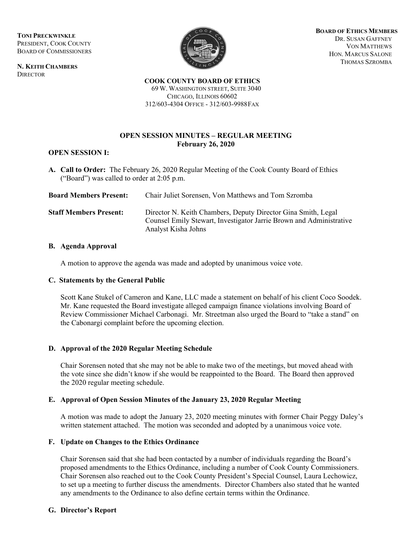**TONI PRECKWINKLE**  PRESIDENT, COOK COUNTY BOARD OF COMMISSIONERS

**N. KEITH CHAMBERS DIRECTOR** 



**BOARD OF ETHICS MEMBERS** DR. SUSAN GAFFNEY VON MATTHEWS HON. MARCUS SALONE THOMAS SZROMBA

**COOK COUNTY BOARD OF ETHICS** 69 W. WASHINGTON STREET, SUITE 3040

CHICAGO, ILLINOIS 60602 312/603-4304 OFFICE - 312/603-9988FAX

# **OPEN SESSION MINUTES – REGULAR MEETING February 26, 2020**

### **OPEN SESSION I:**

**A. Call to Order:** The February 26, 2020 Regular Meeting of the Cook County Board of Ethics ("Board") was called to order at 2:05 p.m.

| <b>Board Members Present:</b> | Chair Juliet Sorensen, Von Matthews and Tom Szromba                                                                                                         |
|-------------------------------|-------------------------------------------------------------------------------------------------------------------------------------------------------------|
| <b>Staff Members Present:</b> | Director N. Keith Chambers, Deputy Director Gina Smith, Legal<br>Counsel Emily Stewart, Investigator Jarrie Brown and Administrative<br>Analyst Kisha Johns |

### **B. Agenda Approval**

A motion to approve the agenda was made and adopted by unanimous voice vote.

### **C. Statements by the General Public**

Scott Kane Stukel of Cameron and Kane, LLC made a statement on behalf of his client Coco Soodek. Mr. Kane requested the Board investigate alleged campaign finance violations involving Board of Review Commissioner Michael Carbonagi. Mr. Streetman also urged the Board to "take a stand" on the Cabonargi complaint before the upcoming election.

# **D. Approval of the 2020 Regular Meeting Schedule**

Chair Sorensen noted that she may not be able to make two of the meetings, but moved ahead with the vote since she didn't know if she would be reappointed to the Board. The Board then approved the 2020 regular meeting schedule.

### **E. Approval of Open Session Minutes of the January 23, 2020 Regular Meeting**

A motion was made to adopt the January 23, 2020 meeting minutes with former Chair Peggy Daley's written statement attached. The motion was seconded and adopted by a unanimous voice vote.

# **F. Update on Changes to the Ethics Ordinance**

Chair Sorensen said that she had been contacted by a number of individuals regarding the Board's proposed amendments to the Ethics Ordinance, including a number of Cook County Commissioners. Chair Sorensen also reached out to the Cook County President's Special Counsel, Laura Lechowicz, to set up a meeting to further discuss the amendments. Director Chambers also stated that he wanted any amendments to the Ordinance to also define certain terms within the Ordinance.

# **G. Director's Report**